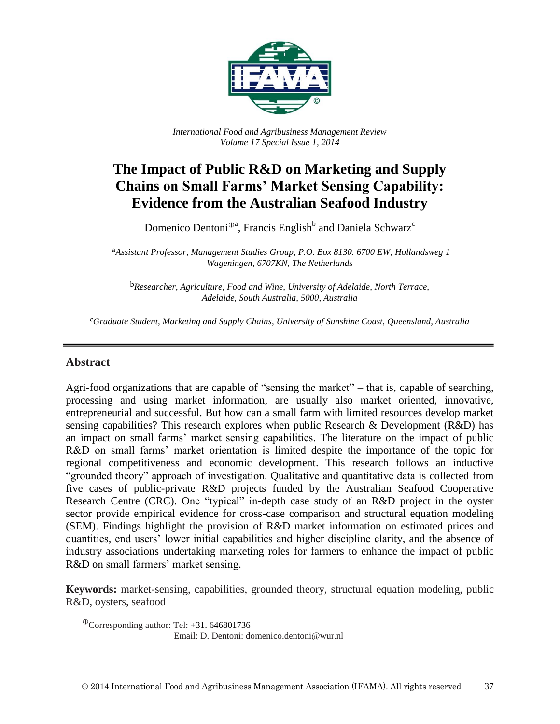

*International Food and Agribusiness Management Review Volume 17 Special Issue 1, 2014*

# **The Impact of Public R&D on Marketing and Supply Chains on Small Farms' Market Sensing Capability: Evidence from the Australian Seafood Industry**

Domenico Dentoni<sup> $\mathbb{D}^{\mathsf{a}}$ , Francis English<sup>b</sup> and Daniela Schwarz<sup>c</sup></sup>

a*Assistant Professor, Management Studies Group, P.O. Box 8130. 6700 EW, Hollandsweg 1 Wageningen, 6707KN, The Netherlands*

b*Researcher, Agriculture, Food and Wine, University of Adelaide, North Terrace, Adelaide, South Australia, 5000, Australia*

c*Graduate Student, Marketing and Supply Chains, University of Sunshine Coast, Queensland, Australia*

#### **Abstract**

Agri-food organizations that are capable of "sensing the market" – that is, capable of searching, processing and using market information, are usually also market oriented, innovative, entrepreneurial and successful. But how can a small farm with limited resources develop market sensing capabilities? This research explores when public Research & Development (R&D) has an impact on small farms' market sensing capabilities. The literature on the impact of public R&D on small farms' market orientation is limited despite the importance of the topic for regional competitiveness and economic development. This research follows an inductive "grounded theory" approach of investigation. Qualitative and quantitative data is collected from five cases of public-private R&D projects funded by the Australian Seafood Cooperative Research Centre (CRC). One "typical" in-depth case study of an R&D project in the oyster sector provide empirical evidence for cross-case comparison and structural equation modeling (SEM). Findings highlight the provision of R&D market information on estimated prices and quantities, end users' lower initial capabilities and higher discipline clarity, and the absence of industry associations undertaking marketing roles for farmers to enhance the impact of public R&D on small farmers' market sensing.

**Keywords:** market-sensing, capabilities, grounded theory, structural equation modeling, public R&D, oysters, seafood

 $^{\circ}$ Corresponding author: Tel: +31. 646801736 Email: D. Dentoni: domenico.dentoni@wur.nl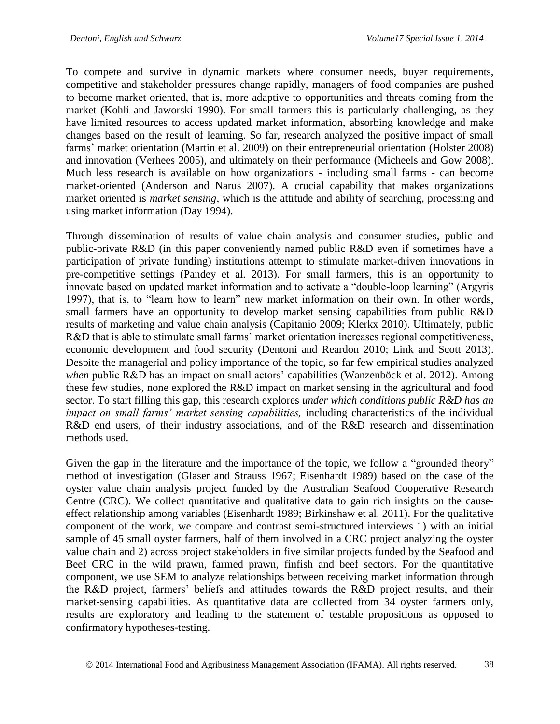To compete and survive in dynamic markets where consumer needs, buyer requirements, competitive and stakeholder pressures change rapidly, managers of food companies are pushed to become market oriented, that is, more adaptive to opportunities and threats coming from the market (Kohli and Jaworski 1990). For small farmers this is particularly challenging, as they have limited resources to access updated market information, absorbing knowledge and make changes based on the result of learning. So far, research analyzed the positive impact of small farms' market orientation (Martin et al. 2009) on their entrepreneurial orientation (Holster 2008) and innovation (Verhees 2005), and ultimately on their performance (Micheels and Gow 2008). Much less research is available on how organizations - including small farms - can become market-oriented (Anderson and Narus 2007). A crucial capability that makes organizations market oriented is *market sensing*, which is the attitude and ability of searching, processing and using market information (Day 1994).

Through dissemination of results of value chain analysis and consumer studies, public and public-private R&D (in this paper conveniently named public R&D even if sometimes have a participation of private funding) institutions attempt to stimulate market-driven innovations in pre-competitive settings (Pandey et al. 2013). For small farmers, this is an opportunity to innovate based on updated market information and to activate a "double-loop learning" (Argyris 1997), that is, to "learn how to learn" new market information on their own. In other words, small farmers have an opportunity to develop market sensing capabilities from public R&D results of marketing and value chain analysis (Capitanio 2009; Klerkx 2010). Ultimately, public R&D that is able to stimulate small farms' market orientation increases regional competitiveness, economic development and food security (Dentoni and Reardon 2010; Link and Scott 2013). Despite the managerial and policy importance of the topic, so far few empirical studies analyzed *when* public R&D has an impact on small actors' capabilities (Wanzenböck et al. 2012). Among these few studies, none explored the R&D impact on market sensing in the agricultural and food sector. To start filling this gap, this research explores *under which conditions public R&D has an impact on small farms' market sensing capabilities,* including characteristics of the individual R&D end users, of their industry associations, and of the R&D research and dissemination methods used.

Given the gap in the literature and the importance of the topic, we follow a "grounded theory" method of investigation (Glaser and Strauss 1967; Eisenhardt 1989) based on the case of the oyster value chain analysis project funded by the Australian Seafood Cooperative Research Centre (CRC). We collect quantitative and qualitative data to gain rich insights on the causeeffect relationship among variables (Eisenhardt 1989; Birkinshaw et al. 2011). For the qualitative component of the work, we compare and contrast semi-structured interviews 1) with an initial sample of 45 small oyster farmers, half of them involved in a CRC project analyzing the oyster value chain and 2) across project stakeholders in five similar projects funded by the Seafood and Beef CRC in the wild prawn, farmed prawn, finfish and beef sectors. For the quantitative component, we use SEM to analyze relationships between receiving market information through the R&D project, farmers' beliefs and attitudes towards the R&D project results, and their market-sensing capabilities. As quantitative data are collected from 34 oyster farmers only, results are exploratory and leading to the statement of testable propositions as opposed to confirmatory hypotheses-testing.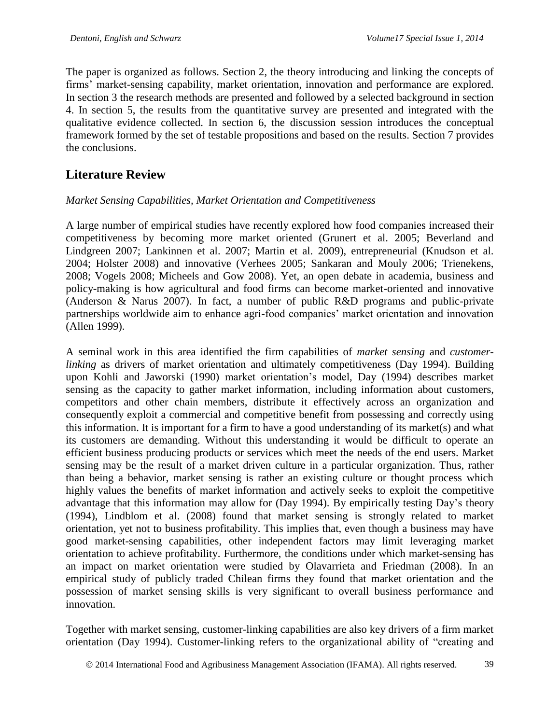The paper is organized as follows. Section 2, the theory introducing and linking the concepts of firms' market-sensing capability, market orientation, innovation and performance are explored. In section 3 the research methods are presented and followed by a selected background in section 4. In section 5, the results from the quantitative survey are presented and integrated with the qualitative evidence collected. In section 6, the discussion session introduces the conceptual framework formed by the set of testable propositions and based on the results. Section 7 provides the conclusions.

### **Literature Review**

#### *Market Sensing Capabilities, Market Orientation and Competitiveness*

A large number of empirical studies have recently explored how food companies increased their competitiveness by becoming more market oriented (Grunert et al. 2005; Beverland and Lindgreen 2007; Lankinnen et al. 2007; Martin et al. 2009), entrepreneurial (Knudson et al. 2004; Holster 2008) and innovative (Verhees 2005; Sankaran and Mouly 2006; Trienekens, 2008; Vogels 2008; Micheels and Gow 2008). Yet, an open debate in academia, business and policy-making is how agricultural and food firms can become market-oriented and innovative (Anderson & Narus 2007). In fact, a number of public R&D programs and public-private partnerships worldwide aim to enhance agri-food companies' market orientation and innovation (Allen 1999).

A seminal work in this area identified the firm capabilities of *market sensing* and *customerlinking* as drivers of market orientation and ultimately competitiveness (Day 1994). Building upon Kohli and Jaworski (1990) market orientation's model, Day (1994) describes market sensing as the capacity to gather market information, including information about customers, competitors and other chain members, distribute it effectively across an organization and consequently exploit a commercial and competitive benefit from possessing and correctly using this information. It is important for a firm to have a good understanding of its market(s) and what its customers are demanding. Without this understanding it would be difficult to operate an efficient business producing products or services which meet the needs of the end users. Market sensing may be the result of a market driven culture in a particular organization. Thus, rather than being a behavior, market sensing is rather an existing culture or thought process which highly values the benefits of market information and actively seeks to exploit the competitive advantage that this information may allow for (Day 1994). By empirically testing Day's theory (1994), Lindblom et al. (2008) found that market sensing is strongly related to market orientation, yet not to business profitability. This implies that, even though a business may have good market-sensing capabilities, other independent factors may limit leveraging market orientation to achieve profitability. Furthermore, the conditions under which market-sensing has an impact on market orientation were studied by Olavarrieta and Friedman (2008). In an empirical study of publicly traded Chilean firms they found that market orientation and the possession of market sensing skills is very significant to overall business performance and innovation.

Together with market sensing, customer-linking capabilities are also key drivers of a firm market orientation (Day 1994). Customer-linking refers to the organizational ability of "creating and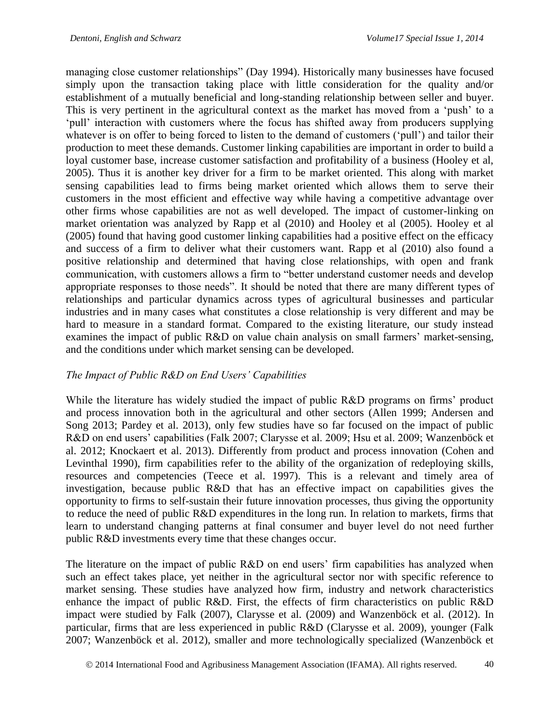managing close customer relationships" (Day 1994). Historically many businesses have focused simply upon the transaction taking place with little consideration for the quality and/or establishment of a mutually beneficial and long-standing relationship between seller and buyer. This is very pertinent in the agricultural context as the market has moved from a 'push' to a 'pull' interaction with customers where the focus has shifted away from producers supplying whatever is on offer to being forced to listen to the demand of customers ('pull') and tailor their production to meet these demands. Customer linking capabilities are important in order to build a loyal customer base, increase customer satisfaction and profitability of a business (Hooley et al, 2005). Thus it is another key driver for a firm to be market oriented. This along with market sensing capabilities lead to firms being market oriented which allows them to serve their customers in the most efficient and effective way while having a competitive advantage over other firms whose capabilities are not as well developed. The impact of customer-linking on market orientation was analyzed by Rapp et al (2010) and Hooley et al (2005). Hooley et al (2005) found that having good customer linking capabilities had a positive effect on the efficacy and success of a firm to deliver what their customers want. Rapp et al (2010) also found a positive relationship and determined that having close relationships, with open and frank communication, with customers allows a firm to "better understand customer needs and develop appropriate responses to those needs". It should be noted that there are many different types of relationships and particular dynamics across types of agricultural businesses and particular industries and in many cases what constitutes a close relationship is very different and may be hard to measure in a standard format. Compared to the existing literature, our study instead examines the impact of public R&D on value chain analysis on small farmers' market-sensing, and the conditions under which market sensing can be developed.

#### *The Impact of Public R&D on End Users' Capabilities*

While the literature has widely studied the impact of public R&D programs on firms' product and process innovation both in the agricultural and other sectors (Allen 1999; Andersen and Song 2013; Pardey et al. 2013), only few studies have so far focused on the impact of public R&D on end users' capabilities (Falk 2007; Clarysse et al. 2009; Hsu et al. 2009; Wanzenböck et al. 2012; Knockaert et al. 2013). Differently from product and process innovation (Cohen and Levinthal 1990), firm capabilities refer to the ability of the organization of redeploying skills, resources and competencies (Teece et al. 1997). This is a relevant and timely area of investigation, because public R&D that has an effective impact on capabilities gives the opportunity to firms to self-sustain their future innovation processes, thus giving the opportunity to reduce the need of public R&D expenditures in the long run. In relation to markets, firms that learn to understand changing patterns at final consumer and buyer level do not need further public R&D investments every time that these changes occur.

The literature on the impact of public R&D on end users' firm capabilities has analyzed when such an effect takes place, yet neither in the agricultural sector nor with specific reference to market sensing. These studies have analyzed how firm, industry and network characteristics enhance the impact of public R&D. First, the effects of firm characteristics on public R&D impact were studied by Falk (2007), Clarysse et al. (2009) and Wanzenböck et al. (2012). In particular, firms that are less experienced in public R&D (Clarysse et al. 2009), younger (Falk 2007; Wanzenböck et al. 2012), smaller and more technologically specialized (Wanzenböck et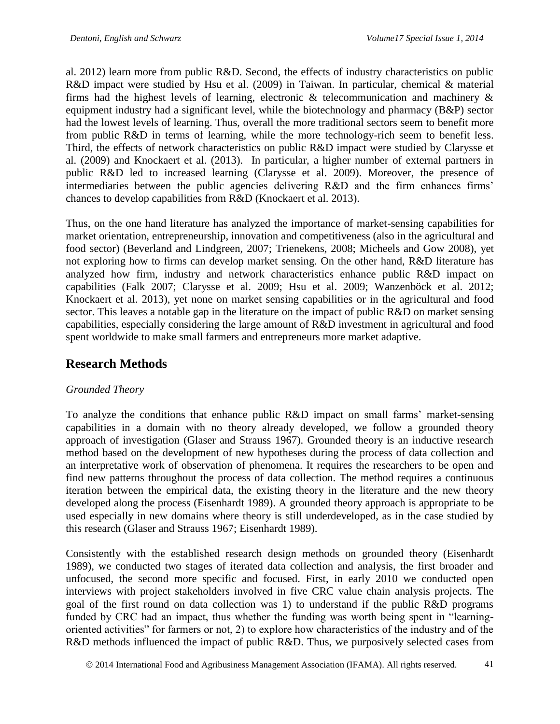al. 2012) learn more from public R&D. Second, the effects of industry characteristics on public R&D impact were studied by Hsu et al. (2009) in Taiwan. In particular, chemical & material firms had the highest levels of learning, electronic  $\&$  telecommunication and machinery  $\&$ equipment industry had a significant level, while the biotechnology and pharmacy (B&P) sector had the lowest levels of learning. Thus, overall the more traditional sectors seem to benefit more from public R&D in terms of learning, while the more technology-rich seem to benefit less. Third, the effects of network characteristics on public R&D impact were studied by [Clarysse et](http://www.sciencedirect.com/science/article/pii/S016649721200140X#bib8)  [al. \(2009\)](http://www.sciencedirect.com/science/article/pii/S016649721200140X#bib8) and Knockaert et al. (2013). In particular, a higher number of external partners in public R&D led to increased learning [\(Clarysse et al. 2009\).](http://www.sciencedirect.com/science/article/pii/S016649721200140X#bib8) Moreover, the presence of intermediaries between the public agencies delivering R&D and the firm enhances firms' chances to develop capabilities from R&D (Knockaert et al. 2013).

Thus, on the one hand literature has analyzed the importance of market-sensing capabilities for market orientation, entrepreneurship, innovation and competitiveness (also in the agricultural and food sector) (Beverland and Lindgreen, 2007; Trienekens, 2008; Micheels and Gow 2008), yet not exploring how to firms can develop market sensing. On the other hand, R&D literature has analyzed how firm, industry and network characteristics enhance public R&D impact on capabilities (Falk 2007; Clarysse et al. 2009; Hsu et al. 2009; Wanzenböck et al. 2012; Knockaert et al. 2013), yet none on market sensing capabilities or in the agricultural and food sector. This leaves a notable gap in the literature on the impact of public R&D on market sensing capabilities, especially considering the large amount of R&D investment in agricultural and food spent worldwide to make small farmers and entrepreneurs more market adaptive.

## **Research Methods**

#### *Grounded Theory*

To analyze the conditions that enhance public R&D impact on small farms' market-sensing capabilities in a domain with no theory already developed, we follow a grounded theory approach of investigation (Glaser and Strauss 1967). Grounded theory is an inductive research method based on the development of new hypotheses during the process of data collection and an interpretative work of observation of phenomena. It requires the researchers to be open and find new patterns throughout the process of data collection. The method requires a continuous iteration between the empirical data, the existing theory in the literature and the new theory developed along the process (Eisenhardt 1989). A grounded theory approach is appropriate to be used especially in new domains where theory is still underdeveloped, as in the case studied by this research (Glaser and Strauss 1967; Eisenhardt 1989).

Consistently with the established research design methods on grounded theory (Eisenhardt 1989), we conducted two stages of iterated data collection and analysis, the first broader and unfocused, the second more specific and focused. First, in early 2010 we conducted open interviews with project stakeholders involved in five CRC value chain analysis projects. The goal of the first round on data collection was 1) to understand if the public R&D programs funded by CRC had an impact, thus whether the funding was worth being spent in "learningoriented activities" for farmers or not, 2) to explore how characteristics of the industry and of the R&D methods influenced the impact of public R&D. Thus, we purposively selected cases from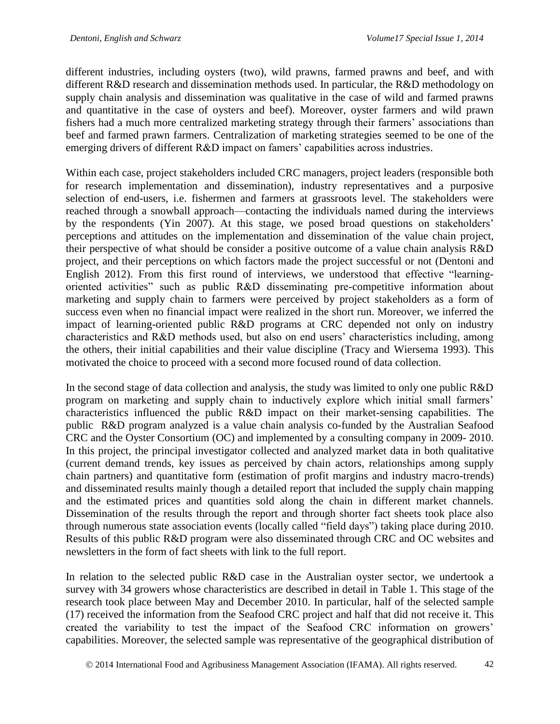different industries, including oysters (two), wild prawns, farmed prawns and beef, and with different R&D research and dissemination methods used. In particular, the R&D methodology on supply chain analysis and dissemination was qualitative in the case of wild and farmed prawns and quantitative in the case of oysters and beef). Moreover, oyster farmers and wild prawn fishers had a much more centralized marketing strategy through their farmers' associations than beef and farmed prawn farmers. Centralization of marketing strategies seemed to be one of the emerging drivers of different R&D impact on famers' capabilities across industries.

Within each case, project stakeholders included CRC managers, project leaders (responsible both for research implementation and dissemination), industry representatives and a purposive selection of end-users, i.e. fishermen and farmers at grassroots level. The stakeholders were reached through a snowball approach—contacting the individuals named during the interviews by the respondents (Yin 2007). At this stage, we posed broad questions on stakeholders' perceptions and attitudes on the implementation and dissemination of the value chain project, their perspective of what should be consider a positive outcome of a value chain analysis R&D project, and their perceptions on which factors made the project successful or not (Dentoni and English 2012). From this first round of interviews, we understood that effective "learningoriented activities" such as public R&D disseminating pre-competitive information about marketing and supply chain to farmers were perceived by project stakeholders as a form of success even when no financial impact were realized in the short run. Moreover, we inferred the impact of learning-oriented public R&D programs at CRC depended not only on industry characteristics and R&D methods used, but also on end users' characteristics including, among the others, their initial capabilities and their value discipline (Tracy and Wiersema 1993). This motivated the choice to proceed with a second more focused round of data collection.

In the second stage of data collection and analysis, the study was limited to only one public R&D program on marketing and supply chain to inductively explore which initial small farmers' characteristics influenced the public R&D impact on their market-sensing capabilities. The public R&D program analyzed is a value chain analysis co-funded by the Australian Seafood CRC and the Oyster Consortium (OC) and implemented by a consulting company in 2009- 2010. In this project, the principal investigator collected and analyzed market data in both qualitative (current demand trends, key issues as perceived by chain actors, relationships among supply chain partners) and quantitative form (estimation of profit margins and industry macro-trends) and disseminated results mainly though a detailed report that included the supply chain mapping and the estimated prices and quantities sold along the chain in different market channels. Dissemination of the results through the report and through shorter fact sheets took place also through numerous state association events (locally called "field days") taking place during 2010. Results of this public R&D program were also disseminated through CRC and OC websites and newsletters in the form of fact sheets with link to the full report.

In relation to the selected public R&D case in the Australian oyster sector, we undertook a survey with 34 growers whose characteristics are described in detail in Table 1. This stage of the research took place between May and December 2010. In particular, half of the selected sample (17) received the information from the Seafood CRC project and half that did not receive it. This created the variability to test the impact of the Seafood CRC information on growers' capabilities. Moreover, the selected sample was representative of the geographical distribution of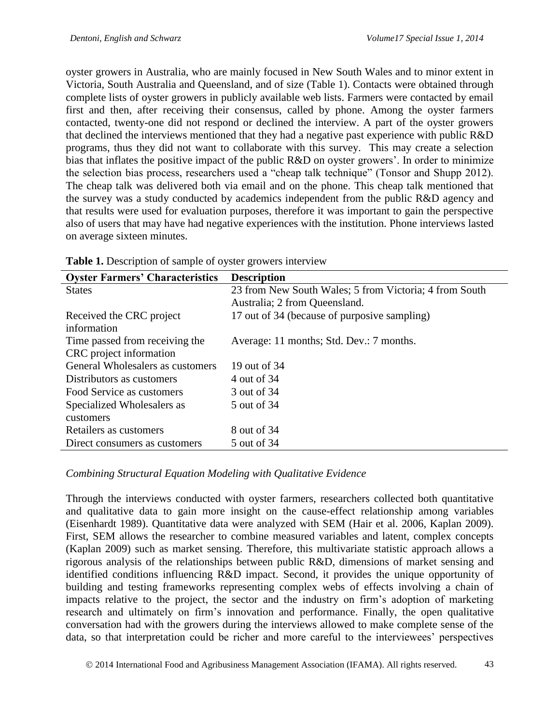oyster growers in Australia, who are mainly focused in New South Wales and to minor extent in Victoria, South Australia and Queensland, and of size (Table 1). Contacts were obtained through complete lists of oyster growers in publicly available web lists. Farmers were contacted by email first and then, after receiving their consensus, called by phone. Among the oyster farmers contacted, twenty-one did not respond or declined the interview. A part of the oyster growers that declined the interviews mentioned that they had a negative past experience with public R&D programs, thus they did not want to collaborate with this survey. This may create a selection bias that inflates the positive impact of the public R&D on oyster growers'. In order to minimize the selection bias process, researchers used a "cheap talk technique" (Tonsor and Shupp 2012). The cheap talk was delivered both via email and on the phone. This cheap talk mentioned that the survey was a study conducted by academics independent from the public R&D agency and that results were used for evaluation purposes, therefore it was important to gain the perspective also of users that may have had negative experiences with the institution. Phone interviews lasted on average sixteen minutes.

| <b>Oyster Farmers' Characteristics</b> | <b>Description</b>                                     |
|----------------------------------------|--------------------------------------------------------|
| <b>States</b>                          | 23 from New South Wales; 5 from Victoria; 4 from South |
|                                        | Australia; 2 from Queensland.                          |
| Received the CRC project               | 17 out of 34 (because of purposive sampling)           |
| information                            |                                                        |
| Time passed from receiving the         | Average: 11 months; Std. Dev.: 7 months.               |
| CRC project information                |                                                        |
| General Wholesalers as customers       | 19 out of 34                                           |
| Distributors as customers              | 4 out of 34                                            |
| Food Service as customers              | 3 out of 34                                            |
| Specialized Wholesalers as             | 5 out of 34                                            |
| customers                              |                                                        |
| Retailers as customers                 | 8 out of 34                                            |
| Direct consumers as customers          | 5 out of 34                                            |

| Table 1. Description of sample of oyster growers interview |  |  |  |  |
|------------------------------------------------------------|--|--|--|--|

### *Combining Structural Equation Modeling with Qualitative Evidence*

Through the interviews conducted with oyster farmers, researchers collected both quantitative and qualitative data to gain more insight on the cause-effect relationship among variables (Eisenhardt 1989). Quantitative data were analyzed with SEM (Hair et al. 2006, Kaplan 2009). First, SEM allows the researcher to combine measured variables and latent, complex concepts (Kaplan 2009) such as market sensing. Therefore, this multivariate statistic approach allows a rigorous analysis of the relationships between public R&D, dimensions of market sensing and identified conditions influencing R&D impact. Second, it provides the unique opportunity of building and testing frameworks representing complex webs of effects involving a chain of impacts relative to the project, the sector and the industry on firm's adoption of marketing research and ultimately on firm's innovation and performance. Finally, the open qualitative conversation had with the growers during the interviews allowed to make complete sense of the data, so that interpretation could be richer and more careful to the interviewees' perspectives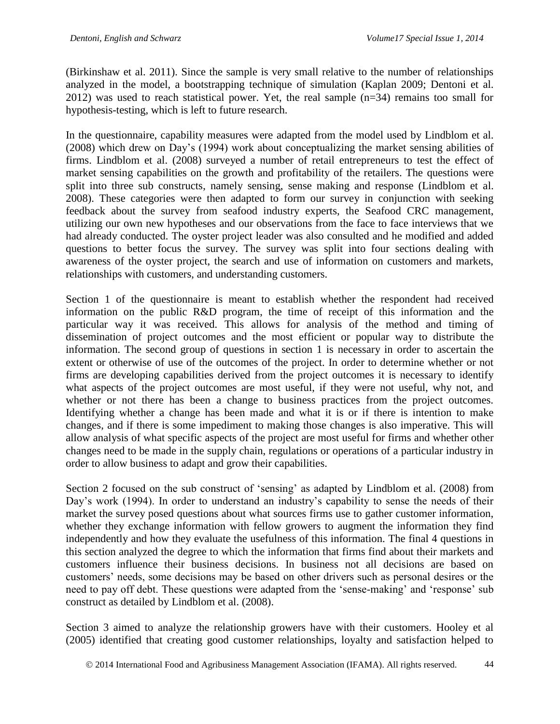(Birkinshaw et al. 2011). Since the sample is very small relative to the number of relationships analyzed in the model, a bootstrapping technique of simulation (Kaplan 2009; Dentoni et al.  $2012$ ) was used to reach statistical power. Yet, the real sample (n=34) remains too small for hypothesis-testing, which is left to future research.

In the questionnaire, capability measures were adapted from the model used by Lindblom et al. (2008) which drew on Day's (1994) work about conceptualizing the market sensing abilities of firms. Lindblom et al. (2008) surveyed a number of retail entrepreneurs to test the effect of market sensing capabilities on the growth and profitability of the retailers. The questions were split into three sub constructs, namely sensing, sense making and response (Lindblom et al. 2008). These categories were then adapted to form our survey in conjunction with seeking feedback about the survey from seafood industry experts, the Seafood CRC management, utilizing our own new hypotheses and our observations from the face to face interviews that we had already conducted. The oyster project leader was also consulted and he modified and added questions to better focus the survey. The survey was split into four sections dealing with awareness of the oyster project, the search and use of information on customers and markets, relationships with customers, and understanding customers.

Section 1 of the questionnaire is meant to establish whether the respondent had received information on the public R&D program, the time of receipt of this information and the particular way it was received. This allows for analysis of the method and timing of dissemination of project outcomes and the most efficient or popular way to distribute the information. The second group of questions in section 1 is necessary in order to ascertain the extent or otherwise of use of the outcomes of the project. In order to determine whether or not firms are developing capabilities derived from the project outcomes it is necessary to identify what aspects of the project outcomes are most useful, if they were not useful, why not, and whether or not there has been a change to business practices from the project outcomes. Identifying whether a change has been made and what it is or if there is intention to make changes, and if there is some impediment to making those changes is also imperative. This will allow analysis of what specific aspects of the project are most useful for firms and whether other changes need to be made in the supply chain, regulations or operations of a particular industry in order to allow business to adapt and grow their capabilities.

Section 2 focused on the sub construct of 'sensing' as adapted by Lindblom et al. (2008) from Day's work (1994). In order to understand an industry's capability to sense the needs of their market the survey posed questions about what sources firms use to gather customer information, whether they exchange information with fellow growers to augment the information they find independently and how they evaluate the usefulness of this information. The final 4 questions in this section analyzed the degree to which the information that firms find about their markets and customers influence their business decisions. In business not all decisions are based on customers' needs, some decisions may be based on other drivers such as personal desires or the need to pay off debt. These questions were adapted from the 'sense-making' and 'response' sub construct as detailed by Lindblom et al. (2008).

Section 3 aimed to analyze the relationship growers have with their customers. Hooley et al (2005) identified that creating good customer relationships, loyalty and satisfaction helped to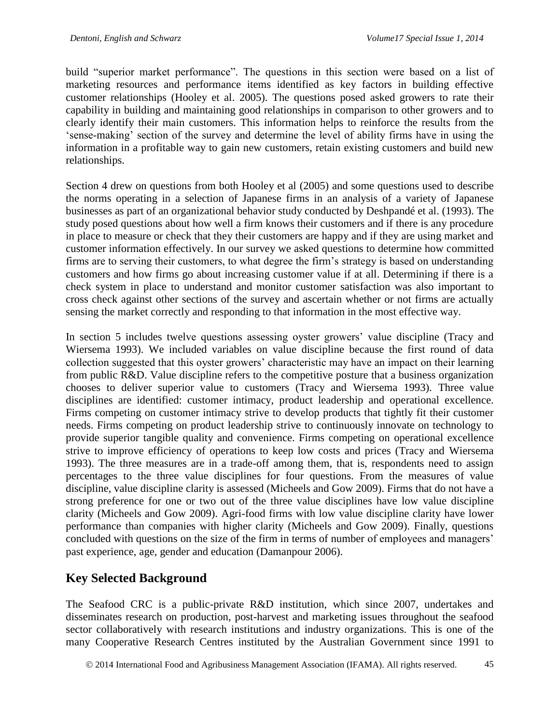build "superior market performance". The questions in this section were based on a list of marketing resources and performance items identified as key factors in building effective customer relationships (Hooley et al. 2005). The questions posed asked growers to rate their capability in building and maintaining good relationships in comparison to other growers and to clearly identify their main customers. This information helps to reinforce the results from the 'sense-making' section of the survey and determine the level of ability firms have in using the information in a profitable way to gain new customers, retain existing customers and build new relationships.

Section 4 drew on questions from both Hooley et al (2005) and some questions used to describe the norms operating in a selection of Japanese firms in an analysis of a variety of Japanese businesses as part of an organizational behavior study conducted by Deshpandé et al. (1993). The study posed questions about how well a firm knows their customers and if there is any procedure in place to measure or check that they their customers are happy and if they are using market and customer information effectively. In our survey we asked questions to determine how committed firms are to serving their customers, to what degree the firm's strategy is based on understanding customers and how firms go about increasing customer value if at all. Determining if there is a check system in place to understand and monitor customer satisfaction was also important to cross check against other sections of the survey and ascertain whether or not firms are actually sensing the market correctly and responding to that information in the most effective way.

In section 5 includes twelve questions assessing oyster growers' value discipline (Tracy and Wiersema 1993). We included variables on value discipline because the first round of data collection suggested that this oyster growers' characteristic may have an impact on their learning from public R&D. Value discipline refers to the competitive posture that a business organization chooses to deliver superior value to customers (Tracy and Wiersema 1993). Three value disciplines are identified: customer intimacy, product leadership and operational excellence. Firms competing on customer intimacy strive to develop products that tightly fit their customer needs. Firms competing on product leadership strive to continuously innovate on technology to provide superior tangible quality and convenience. Firms competing on operational excellence strive to improve efficiency of operations to keep low costs and prices (Tracy and Wiersema 1993). The three measures are in a trade-off among them, that is, respondents need to assign percentages to the three value disciplines for four questions. From the measures of value discipline, value discipline clarity is assessed (Micheels and Gow 2009). Firms that do not have a strong preference for one or two out of the three value disciplines have low value discipline clarity (Micheels and Gow 2009). Agri-food firms with low value discipline clarity have lower performance than companies with higher clarity (Micheels and Gow 2009). Finally, questions concluded with questions on the size of the firm in terms of number of employees and managers' past experience, age, gender and education (Damanpour 2006).

## **Key Selected Background**

The Seafood CRC is a public-private R&D institution, which since 2007, undertakes and disseminates research on production, post-harvest and marketing issues throughout the seafood sector collaboratively with research institutions and industry organizations. This is one of the many Cooperative Research Centres instituted by the Australian Government since 1991 to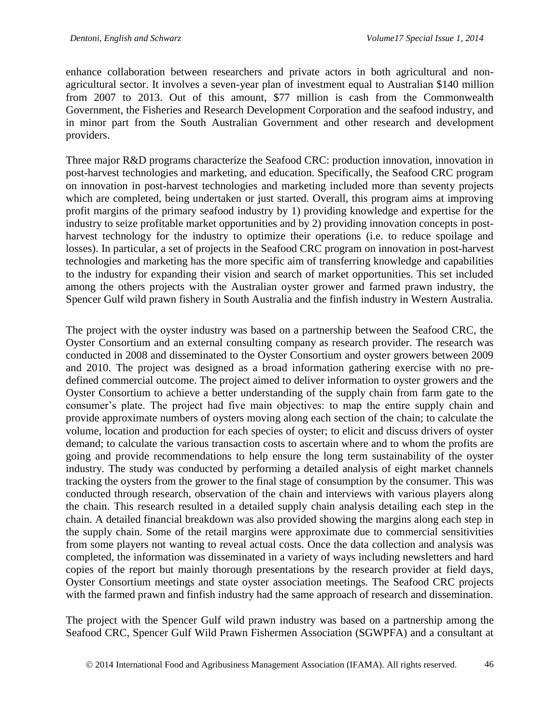enhance collaboration between researchers and private actors in both agricultural and nonagricultural sector. It involves a seven-year plan of investment equal to Australian \$140 million from 2007 to 2013. Out of this amount, \$77 million is cash from the Commonwealth Government, the Fisheries and Research Development Corporation and the seafood industry, and in minor part from the South Australian Government and other research and development providers.

Three major R&D programs characterize the Seafood CRC: production innovation, innovation in post-harvest technologies and marketing, and education. Specifically, the Seafood CRC program on innovation in post-harvest technologies and marketing included more than seventy projects which are completed, being undertaken or just started. Overall, this program aims at improving profit margins of the primary seafood industry by 1) providing knowledge and expertise for the industry to seize profitable market opportunities and by 2) providing innovation concepts in postharvest technology for the industry to optimize their operations (i.e. to reduce spoilage and losses). In particular, a set of projects in the Seafood CRC program on innovation in post-harvest technologies and marketing has the more specific aim of transferring knowledge and capabilities to the industry for expanding their vision and search of market opportunities. This set included among the others projects with the Australian oyster grower and farmed prawn industry, the Spencer Gulf wild prawn fishery in South Australia and the finfish industry in Western Australia.

The project with the oyster industry was based on a partnership between the Seafood CRC, the Oyster Consortium and an external consulting company as research provider. The research was conducted in 2008 and disseminated to the Oyster Consortium and oyster growers between 2009 and 2010. The project was designed as a broad information gathering exercise with no predefined commercial outcome. The project aimed to deliver information to oyster growers and the Oyster Consortium to achieve a better understanding of the supply chain from farm gate to the consumer's plate. The project had five main objectives: to map the entire supply chain and provide approximate numbers of oysters moving along each section of the chain; to calculate the volume, location and production for each species of oyster; to elicit and discuss drivers of oyster demand; to calculate the various transaction costs to ascertain where and to whom the profits are going and provide recommendations to help ensure the long term sustainability of the oyster industry. The study was conducted by performing a detailed analysis of eight market channels tracking the oysters from the grower to the final stage of consumption by the consumer. This was conducted through research, observation of the chain and interviews with various players along the chain. This research resulted in a detailed supply chain analysis detailing each step in the chain. A detailed financial breakdown was also provided showing the margins along each step in the supply chain. Some of the retail margins were approximate due to commercial sensitivities from some players not wanting to reveal actual costs. Once the data collection and analysis was completed, the information was disseminated in a variety of ways including newsletters and hard copies of the report but mainly thorough presentations by the research provider at field days, Oyster Consortium meetings and state oyster association meetings. The Seafood CRC projects with the farmed prawn and finfish industry had the same approach of research and dissemination.

The project with the Spencer Gulf wild prawn industry was based on a partnership among the Seafood CRC, Spencer Gulf Wild Prawn Fishermen Association (SGWPFA) and a consultant at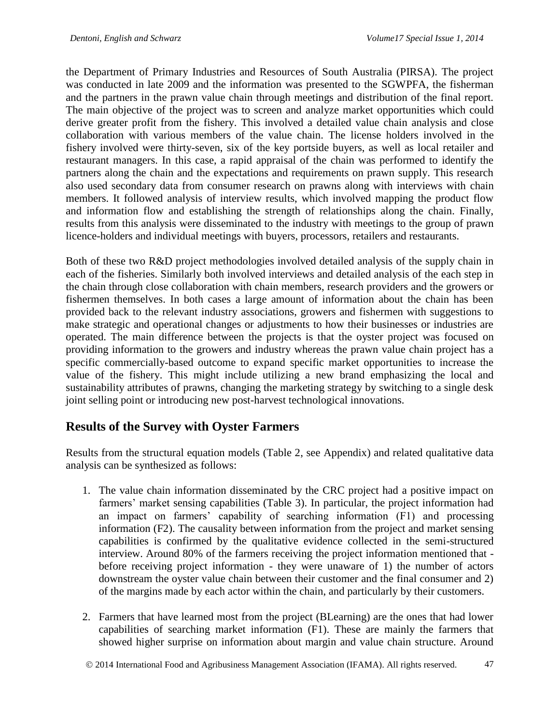the Department of Primary Industries and Resources of South Australia (PIRSA). The project was conducted in late 2009 and the information was presented to the SGWPFA, the fisherman and the partners in the prawn value chain through meetings and distribution of the final report. The main objective of the project was to screen and analyze market opportunities which could derive greater profit from the fishery. This involved a detailed value chain analysis and close collaboration with various members of the value chain. The license holders involved in the fishery involved were thirty-seven, six of the key portside buyers, as well as local retailer and restaurant managers. In this case, a rapid appraisal of the chain was performed to identify the partners along the chain and the expectations and requirements on prawn supply. This research also used secondary data from consumer research on prawns along with interviews with chain members. It followed analysis of interview results, which involved mapping the product flow and information flow and establishing the strength of relationships along the chain. Finally, results from this analysis were disseminated to the industry with meetings to the group of prawn licence-holders and individual meetings with buyers, processors, retailers and restaurants.

Both of these two R&D project methodologies involved detailed analysis of the supply chain in each of the fisheries. Similarly both involved interviews and detailed analysis of the each step in the chain through close collaboration with chain members, research providers and the growers or fishermen themselves. In both cases a large amount of information about the chain has been provided back to the relevant industry associations, growers and fishermen with suggestions to make strategic and operational changes or adjustments to how their businesses or industries are operated. The main difference between the projects is that the oyster project was focused on providing information to the growers and industry whereas the prawn value chain project has a specific commercially-based outcome to expand specific market opportunities to increase the value of the fishery. This might include utilizing a new brand emphasizing the local and sustainability attributes of prawns, changing the marketing strategy by switching to a single desk joint selling point or introducing new post-harvest technological innovations.

### **Results of the Survey with Oyster Farmers**

Results from the structural equation models (Table 2, see Appendix) and related qualitative data analysis can be synthesized as follows:

- 1. The value chain information disseminated by the CRC project had a positive impact on farmers' market sensing capabilities (Table 3). In particular, the project information had an impact on farmers' capability of searching information (F1) and processing information (F2). The causality between information from the project and market sensing capabilities is confirmed by the qualitative evidence collected in the semi-structured interview. Around 80% of the farmers receiving the project information mentioned that before receiving project information - they were unaware of 1) the number of actors downstream the oyster value chain between their customer and the final consumer and 2) of the margins made by each actor within the chain, and particularly by their customers.
- 2. Farmers that have learned most from the project (BLearning) are the ones that had lower capabilities of searching market information (F1). These are mainly the farmers that showed higher surprise on information about margin and value chain structure. Around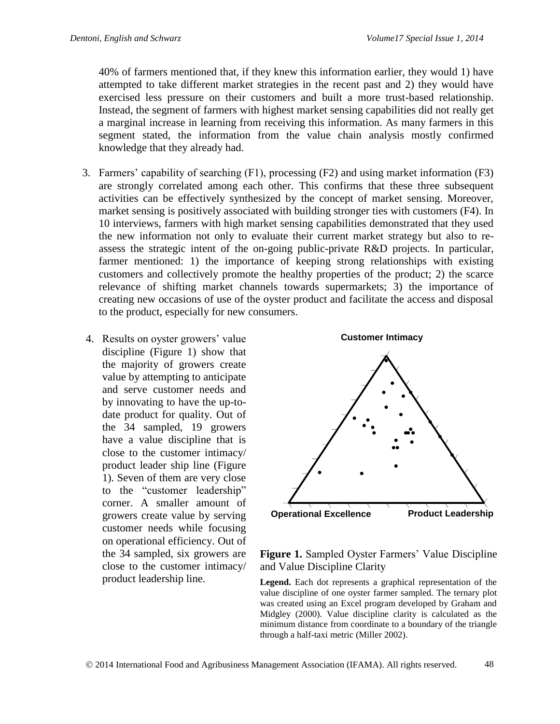40% of farmers mentioned that, if they knew this information earlier, they would 1) have attempted to take different market strategies in the recent past and 2) they would have exercised less pressure on their customers and built a more trust-based relationship. Instead, the segment of farmers with highest market sensing capabilities did not really get a marginal increase in learning from receiving this information. As many farmers in this segment stated, the information from the value chain analysis mostly confirmed knowledge that they already had.

- 3. Farmers' capability of searching (F1), processing (F2) and using market information (F3) are strongly correlated among each other. This confirms that these three subsequent activities can be effectively synthesized by the concept of market sensing. Moreover, market sensing is positively associated with building stronger ties with customers (F4). In 10 interviews, farmers with high market sensing capabilities demonstrated that they used the new information not only to evaluate their current market strategy but also to reassess the strategic intent of the on-going public-private R&D projects. In particular, farmer mentioned: 1) the importance of keeping strong relationships with existing customers and collectively promote the healthy properties of the product; 2) the scarce relevance of shifting market channels towards supermarkets; 3) the importance of creating new occasions of use of the oyster product and facilitate the access and disposal to the product, especially for new consumers.
- 4. Results on oyster growers' value discipline (Figure 1) show that the majority of growers create value by attempting to anticipate and serve customer needs and by innovating to have the up-todate product for quality. Out of the 34 sampled, 19 growers have a value discipline that is close to the customer intimacy/ product leader ship line (Figure 1). Seven of them are very close to the "customer leadership" corner. A smaller amount of growers create value by serving customer needs while focusing on operational efficiency. Out of the 34 sampled, six growers are close to the customer intimacy/ product leadership line.



**Figure 1.** Sampled Oyster Farmers' Value Discipline and Value Discipline Clarity

**Legend.** Each dot represents a graphical representation of the value discipline of one oyster farmer sampled. The ternary plot was created using an Excel program developed by Graham and Midgley (2000). Value discipline clarity is calculated as the minimum distance from coordinate to a boundary of the triangle through a half-taxi metric (Miller 2002).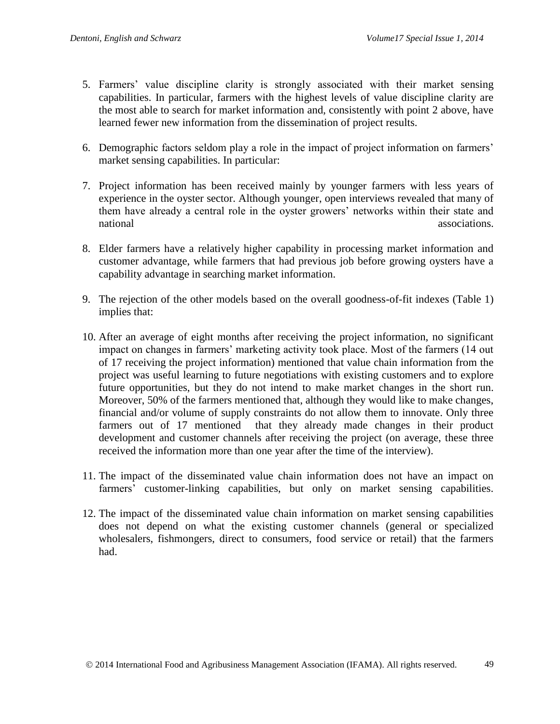- 5. Farmers' value discipline clarity is strongly associated with their market sensing capabilities. In particular, farmers with the highest levels of value discipline clarity are the most able to search for market information and, consistently with point 2 above, have learned fewer new information from the dissemination of project results.
- 6. Demographic factors seldom play a role in the impact of project information on farmers' market sensing capabilities. In particular:
- 7. Project information has been received mainly by younger farmers with less years of experience in the oyster sector. Although younger, open interviews revealed that many of them have already a central role in the oyster growers' networks within their state and national associations and the contract of the contract of the contract of the contract of the contract of the contract of the contract of the contract of the contract of the contract of the contract of the contract of the
- 8. Elder farmers have a relatively higher capability in processing market information and customer advantage, while farmers that had previous job before growing oysters have a capability advantage in searching market information.
- 9. The rejection of the other models based on the overall goodness-of-fit indexes (Table 1) implies that:
- 10. After an average of eight months after receiving the project information, no significant impact on changes in farmers' marketing activity took place. Most of the farmers (14 out of 17 receiving the project information) mentioned that value chain information from the project was useful learning to future negotiations with existing customers and to explore future opportunities, but they do not intend to make market changes in the short run. Moreover, 50% of the farmers mentioned that, although they would like to make changes, financial and/or volume of supply constraints do not allow them to innovate. Only three farmers out of 17 mentioned that they already made changes in their product development and customer channels after receiving the project (on average, these three received the information more than one year after the time of the interview).
- 11. The impact of the disseminated value chain information does not have an impact on farmers' customer-linking capabilities, but only on market sensing capabilities.
- 12. The impact of the disseminated value chain information on market sensing capabilities does not depend on what the existing customer channels (general or specialized wholesalers, fishmongers, direct to consumers, food service or retail) that the farmers had.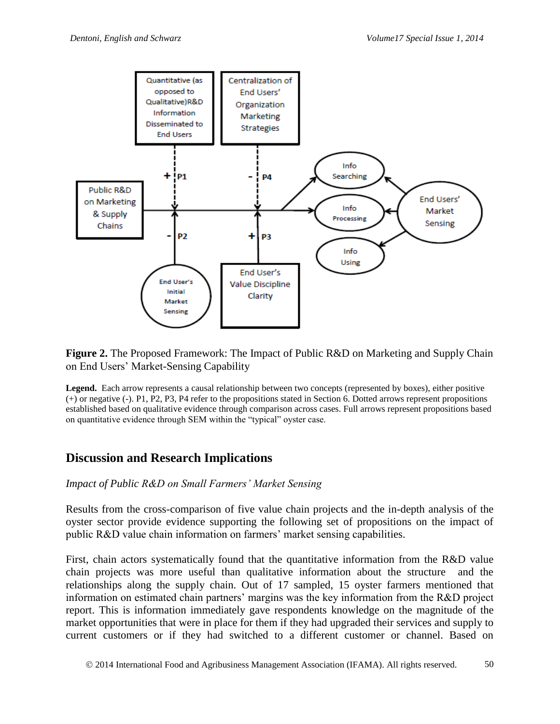

**Figure 2.** The Proposed Framework: The Impact of Public R&D on Marketing and Supply Chain on End Users' Market-Sensing Capability

**Legend.** Each arrow represents a causal relationship between two concepts (represented by boxes), either positive (+) or negative (-). P1, P2, P3, P4 refer to the propositions stated in Section 6. Dotted arrows represent propositions established based on qualitative evidence through comparison across cases. Full arrows represent propositions based on quantitative evidence through SEM within the "typical" oyster case.

### **Discussion and Research Implications**

#### *Impact of Public R&D on Small Farmers' Market Sensing*

Results from the cross-comparison of five value chain projects and the in-depth analysis of the oyster sector provide evidence supporting the following set of propositions on the impact of public R&D value chain information on farmers' market sensing capabilities.

First, chain actors systematically found that the quantitative information from the R&D value chain projects was more useful than qualitative information about the structure and the relationships along the supply chain. Out of 17 sampled, 15 oyster farmers mentioned that information on estimated chain partners' margins was the key information from the R&D project report. This is information immediately gave respondents knowledge on the magnitude of the market opportunities that were in place for them if they had upgraded their services and supply to current customers or if they had switched to a different customer or channel. Based on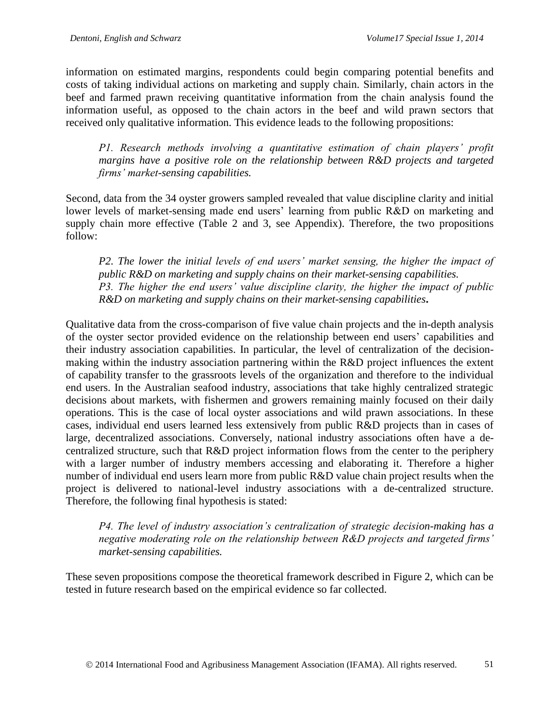information on estimated margins, respondents could begin comparing potential benefits and costs of taking individual actions on marketing and supply chain. Similarly, chain actors in the beef and farmed prawn receiving quantitative information from the chain analysis found the information useful, as opposed to the chain actors in the beef and wild prawn sectors that received only qualitative information. This evidence leads to the following propositions:

*P1. Research methods involving a quantitative estimation of chain players' profit margins have a positive role on the relationship between R&D projects and targeted firms' market-sensing capabilities.* 

Second, data from the 34 oyster growers sampled revealed that value discipline clarity and initial lower levels of market-sensing made end users' learning from public R&D on marketing and supply chain more effective (Table 2 and 3, see Appendix). Therefore, the two propositions follow:

*P2. The lower the initial levels of end users' market sensing, the higher the impact of public R&D on marketing and supply chains on their market-sensing capabilities. P3. The higher the end users' value discipline clarity, the higher the impact of public R&D on marketing and supply chains on their market-sensing capabilities***.** 

Qualitative data from the cross-comparison of five value chain projects and the in-depth analysis of the oyster sector provided evidence on the relationship between end users' capabilities and their industry association capabilities. In particular, the level of centralization of the decisionmaking within the industry association partnering within the R&D project influences the extent of capability transfer to the grassroots levels of the organization and therefore to the individual end users. In the Australian seafood industry, associations that take highly centralized strategic decisions about markets, with fishermen and growers remaining mainly focused on their daily operations. This is the case of local oyster associations and wild prawn associations. In these cases, individual end users learned less extensively from public R&D projects than in cases of large, decentralized associations. Conversely, national industry associations often have a decentralized structure, such that R&D project information flows from the center to the periphery with a larger number of industry members accessing and elaborating it. Therefore a higher number of individual end users learn more from public R&D value chain project results when the project is delivered to national-level industry associations with a de-centralized structure. Therefore, the following final hypothesis is stated:

*P4. The level of industry association's centralization of strategic decision-making has a negative moderating role on the relationship between R&D projects and targeted firms' market-sensing capabilities.*

These seven propositions compose the theoretical framework described in Figure 2, which can be tested in future research based on the empirical evidence so far collected.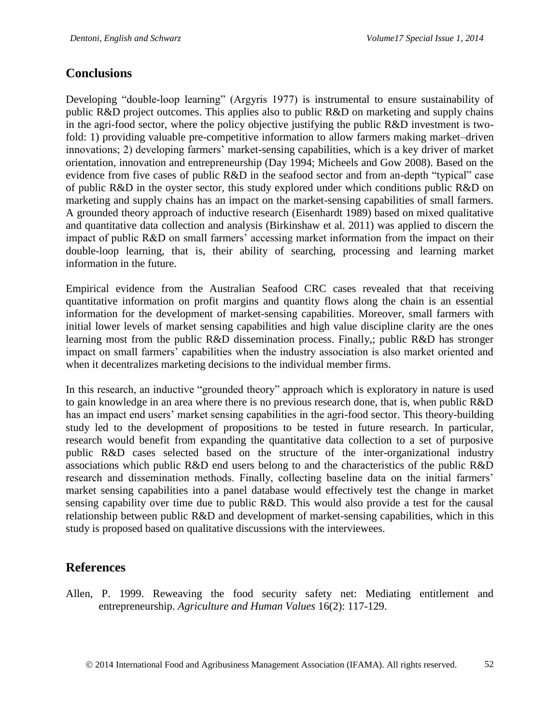### **Conclusions**

Developing "double-loop learning" (Argyris 1977) is instrumental to ensure sustainability of public R&D project outcomes. This applies also to public R&D on marketing and supply chains in the agri-food sector, where the policy objective justifying the public R&D investment is twofold: 1) providing valuable pre-competitive information to allow farmers making market–driven innovations; 2) developing farmers' market-sensing capabilities, which is a key driver of market orientation, innovation and entrepreneurship (Day 1994; Micheels and Gow 2008). Based on the evidence from five cases of public R&D in the seafood sector and from an-depth "typical" case of public R&D in the oyster sector, this study explored under which conditions public R&D on marketing and supply chains has an impact on the market-sensing capabilities of small farmers. A grounded theory approach of inductive research (Eisenhardt 1989) based on mixed qualitative and quantitative data collection and analysis (Birkinshaw et al. 2011) was applied to discern the impact of public R&D on small farmers' accessing market information from the impact on their double-loop learning, that is, their ability of searching, processing and learning market information in the future.

Empirical evidence from the Australian Seafood CRC cases revealed that that receiving quantitative information on profit margins and quantity flows along the chain is an essential information for the development of market-sensing capabilities. Moreover, small farmers with initial lower levels of market sensing capabilities and high value discipline clarity are the ones learning most from the public R&D dissemination process. Finally,; public R&D has stronger impact on small farmers' capabilities when the industry association is also market oriented and when it decentralizes marketing decisions to the individual member firms.

In this research, an inductive "grounded theory" approach which is exploratory in nature is used to gain knowledge in an area where there is no previous research done, that is, when public R&D has an impact end users' market sensing capabilities in the agri-food sector. This theory-building study led to the development of propositions to be tested in future research. In particular, research would benefit from expanding the quantitative data collection to a set of purposive public R&D cases selected based on the structure of the inter-organizational industry associations which public R&D end users belong to and the characteristics of the public R&D research and dissemination methods. Finally, collecting baseline data on the initial farmers' market sensing capabilities into a panel database would effectively test the change in market sensing capability over time due to public R&D. This would also provide a test for the causal relationship between public R&D and development of market-sensing capabilities, which in this study is proposed based on qualitative discussions with the interviewees.

## **References**

Allen, P. 1999. Reweaving the food security safety net: Mediating entitlement and entrepreneurship. *Agriculture and Human Values* 16(2): 117-129.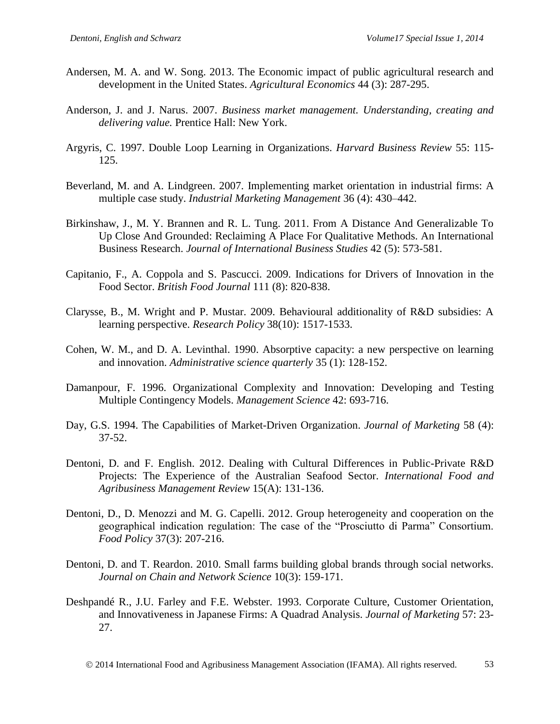- Andersen, M. A. and W. Song. 2013. The Economic impact of public agricultural research and development in the United States. *Agricultural Economics* 44 [\(3\):](http://onlinelibrary.wiley.com/doi/10.1111/agec.2013.44.issue-3/issuetoc) 287-295.
- Anderson, J. and J. Narus. 2007. *Business market management. Understanding, creating and delivering value.* Prentice Hall: New York.
- Argyris, C. 1997. Double Loop Learning in Organizations. *Harvard Business Review* 55: 115- 125.
- Beverland, M. and A. Lindgreen. 2007. Implementing market orientation in industrial firms: A multiple case study. *[Industrial Marketing Management](http://www.sciencedirect.com/science/journal/00198501)* 36 [\(4\)](http://www.sciencedirect.com/science/journal/00198501/36/4): 430–442.
- Birkinshaw, J., M. Y. Brannen and R. L. Tung. 2011. From A Distance And Generalizable To Up Close And Grounded: Reclaiming A Place For Qualitative Methods. An International Business Research. *Journal of International Business Studies* 42 (5): 573-581.
- Capitanio, F., A. Coppola and S. Pascucci. 2009. Indications for Drivers of Innovation in the Food Sector. *British Food Journal* 111 (8): 820-838.
- Clarysse, B., M. Wright and P. Mustar. 2009. Behavioural additionality of R&D subsidies: A learning perspective. *Research Policy* 38(10): 1517-1533.
- Cohen, W. M., and D. A. Levinthal. 1990. Absorptive capacity: a new perspective on learning and innovation. *Administrative science quarterly* 35 (1): 128-152.
- Damanpour, F. 1996. Organizational Complexity and Innovation: Developing and Testing Multiple Contingency Models. *Management Science* 42: 693-716.
- Day, G.S. 1994. The Capabilities of Market-Driven Organization. *Journal of Marketing* 58 (4): 37-52.
- Dentoni, D. and F. English. 2012. Dealing with Cultural Differences in Public-Private R&D Projects: The Experience of the Australian Seafood Sector. *International Food and Agribusiness Management Review* 15(A): 131-136.
- Dentoni, D., D. Menozzi and M. G. Capelli. 2012. Group heterogeneity and cooperation on the geographical indication regulation: The case of the "Prosciutto di Parma" Consortium. *Food Policy* 37(3): 207-216.
- Dentoni, D. and T. Reardon. 2010. Small farms building global brands through social networks. *Journal on Chain and Network Science* 10(3): 159-171.
- Deshpandé R., J.U. Farley and F.E. Webster. 1993. Corporate Culture, Customer Orientation, and Innovativeness in Japanese Firms: A Quadrad Analysis. *Journal of Marketing* 57: 23- 27.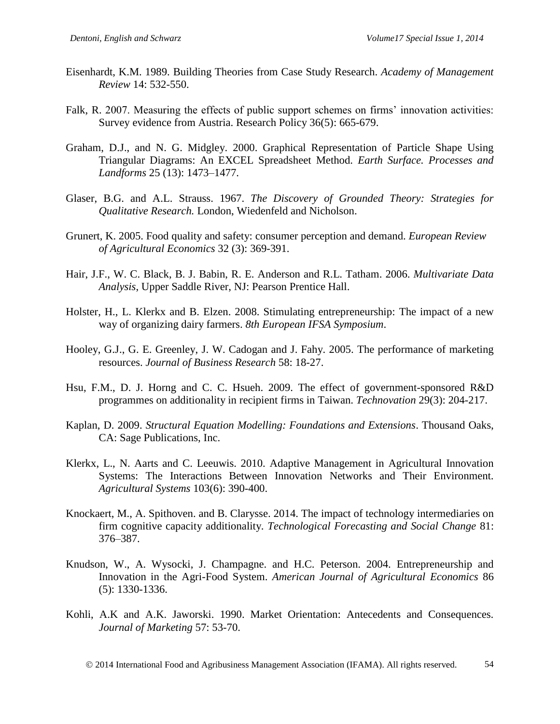- Eisenhardt, K.M. 1989. Building Theories from Case Study Research. *Academy of Management Review* 14: 532-550.
- Falk, R. 2007. Measuring the effects of public support schemes on firms' innovation activities: Survey evidence from Austria. Research Policy 36(5): 665-679.
- Graham, D.J., and N. G. Midgley. 2000. Graphical Representation of Particle Shape Using Triangular Diagrams: An EXCEL Spreadsheet Method. *Earth Surface. Processes and Landforms* 25 (13): 1473–1477.
- Glaser, B.G. and A.L. Strauss. 1967. *The Discovery of Grounded Theory: Strategies for Qualitative Research.* London, Wiedenfeld and Nicholson.
- Grunert, K. 2005. Food quality and safety: consumer perception and demand. *European Review of Agricultural Economics* 32 (3): 369-391.
- Hair, J.F., W. C. Black, B. J. Babin, R. E. Anderson and R.L. Tatham. 2006. *Multivariate Data Analysis*, Upper Saddle River, NJ: Pearson Prentice Hall.
- Holster, H., L. Klerkx and B. Elzen. 2008. Stimulating entrepreneurship: The impact of a new way of organizing dairy farmers. *8th European IFSA Symposium*.
- Hooley, G.J., G. E. Greenley, J. W. Cadogan and J. Fahy. 2005. The performance of marketing resources. *Journal of Business Research* 58: 18-27.
- Hsu, F.M., D. J. Horng and C. C. Hsueh. 2009. The effect of government-sponsored R&D programmes on additionality in recipient firms in Taiwan. *Technovation* 29(3): 204-217.
- Kaplan, D. 2009. *Structural Equation Modelling: Foundations and Extensions*. Thousand Oaks, CA: Sage Publications, Inc.
- Klerkx, L., N. Aarts and C. Leeuwis. 2010. Adaptive Management in Agricultural Innovation Systems: The Interactions Between Innovation Networks and Their Environment. *Agricultural Systems* 103(6): 390-400.
- Knockaert, M., A. Spithoven. and B. Clarysse. 2014. The impact of technology intermediaries on firm cognitive capacity additionality. *Technological Forecasting and Social Change* 81: 376–387.
- Knudson, W., A. Wysocki, J. Champagne. and H.C. Peterson. 2004. Entrepreneurship and Innovation in the Agri-Food System. *American Journal of Agricultural Economics* 86 (5): 1330-1336.
- Kohli, A.K and A.K. Jaworski. 1990. Market Orientation: Antecedents and Consequences. *Journal of Marketing* 57: 53-70.

2014 International Food and Agribusiness Management Association (IFAMA). All rights reserved. 54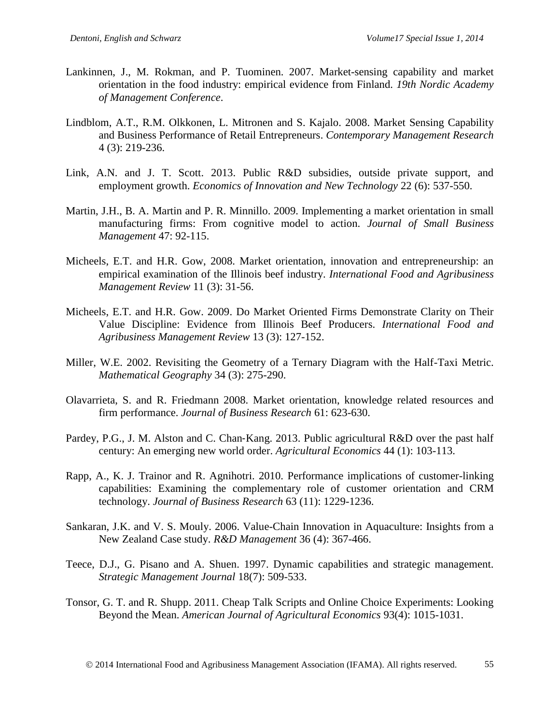- Lankinnen, J., M. Rokman, and P. Tuominen. 2007. Market-sensing capability and market orientation in the food industry: empirical evidence from Finland. *19th Nordic Academy of Management Conference*.
- Lindblom, A.T., R.M. Olkkonen, L. Mitronen and S. Kajalo. 2008. Market Sensing Capability and Business Performance of Retail Entrepreneurs. *Contemporary Management Research*  4 (3): 219-236.
- Link, A.N. and J. T. Scott. 2013. Public R&D subsidies, outside private support, and employment growth. *Economics of Innovation and New Technology* 22 (6): 537-550.
- Martin, J.H., B. A. Martin and P. R. Minnillo. 2009. Implementing a market orientation in small manufacturing firms: From cognitive model to action. *Journal of Small Business Management* 47: 92-115.
- Micheels, E.T. and H.R. Gow, 2008. Market orientation, innovation and entrepreneurship: an empirical examination of the Illinois beef industry. *International Food and Agribusiness Management Review* 11 (3): 31-56.
- Micheels, E.T. and H.R. Gow. 2009. Do Market Oriented Firms Demonstrate Clarity on Their Value Discipline: Evidence from Illinois Beef Producers. *International Food and Agribusiness Management Review* 13 (3): 127-152.
- Miller, W.E. 2002. Revisiting the Geometry of a Ternary Diagram with the Half-Taxi Metric. *Mathematical Geography* 34 (3): 275-290.
- Olavarrieta, S. and R. Friedmann 2008. Market orientation, knowledge related resources and firm performance. *Journal of Business Research* 61: 623-630.
- Pardey, P.G., J. M. Alston and C. Chan-Kang. 2013. Public agricultural R&D over the past half century: An emerging new world order. *Agricultural Economics* 44 (1): 103-113.
- Rapp, A., K. J. Trainor and R. Agnihotri. 2010. Performance implications of customer-linking capabilities: Examining the complementary role of customer orientation and CRM technology. *Journal of Business Research* 63 (11): 1229-1236.
- Sankaran, J.K. and V. S. Mouly. 2006. Value-Chain Innovation in Aquaculture: Insights from a New Zealand Case study. *R&D Management* 36 (4): 367-466.
- Teece, D.J., G. Pisano and A. Shuen. 1997. Dynamic capabilities and strategic management. *Strategic Management Journal* 18(7): 509-533.
- Tonsor, G. T. and R. Shupp. 2011. Cheap Talk Scripts and Online Choice Experiments: Looking Beyond the Mean. *American Journal of Agricultural Economics* 93(4): 1015-1031.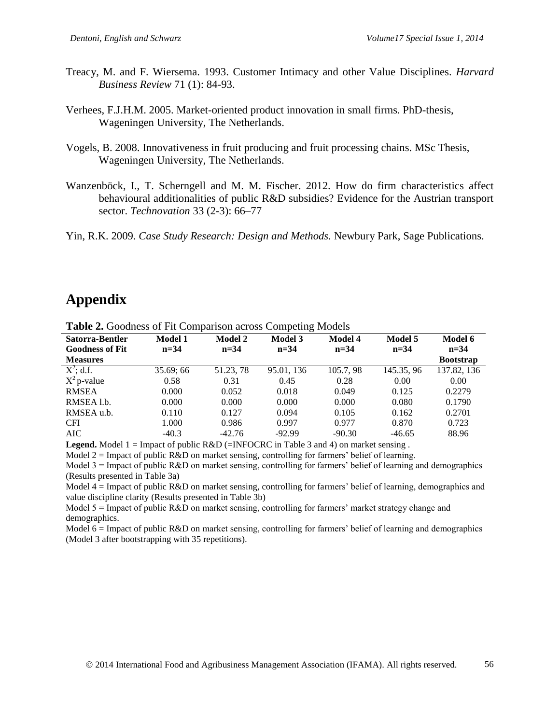- Treacy, M. and F. Wiersema. 1993. Customer Intimacy and other Value Disciplines. *Harvard Business Review* 71 (1): 84-93.
- Verhees, F.J.H.M. 2005. Market-oriented product innovation in small firms. PhD-thesis, Wageningen University, The Netherlands.
- Vogels, B. 2008. Innovativeness in fruit producing and fruit processing chains. MSc Thesis, Wageningen University, The Netherlands.
- Wanzenböck, I., T. Scherngell and M. M. Fischer. 2012. How do firm characteristics affect behavioural additionalities of public R&D subsidies? Evidence for the Austrian transport sector. *Technovation* 33 [\(2-3\)](http://www.sciencedirect.com/science/journal/01664972/33/2): 66–77
- Yin, R.K. 2009. *Case Study Research: Design and Methods.* Newbury Park, Sage Publications.

# **Appendix**

|                        | $\overline{\phantom{a}}$ |                | ັ          |           |            |                  |
|------------------------|--------------------------|----------------|------------|-----------|------------|------------------|
| Satorra-Bentler        | Model 1                  | <b>Model 2</b> | Model 3    | Model 4   | Model 5    | Model 6          |
| <b>Goodness of Fit</b> | $n = 34$                 | $n = 34$       | $n = 34$   | $n = 34$  | $n = 34$   | $n = 34$         |
| <b>Measures</b>        |                          |                |            |           |            | <b>Bootstrap</b> |
| $X^2$ ; d.f.           | 35.69; 66                | 51.23, 78      | 95.01, 136 | 105.7, 98 | 145.35, 96 | 137.82, 136      |
| $X^2$ p-value          | 0.58                     | 0.31           | 0.45       | 0.28      | 0.00       | 0.00             |
| <b>RMSEA</b>           | 0.000                    | 0.052          | 0.018      | 0.049     | 0.125      | 0.2279           |
| RMSEA 1.b.             | 0.000                    | 0.000          | 0.000      | 0.000     | 0.080      | 0.1790           |
| RMSEA u.b.             | 0.110                    | 0.127          | 0.094      | 0.105     | 0.162      | 0.2701           |
| <b>CFI</b>             | 1.000                    | 0.986          | 0.997      | 0.977     | 0.870      | 0.723            |
| <b>AIC</b>             | $-40.3$                  | $-42.76$       | $-92.99$   | $-90.30$  | $-46.65$   | 88.96            |

**Table 2.** Goodness of Fit Comparison across Competing Models

**Legend.** Model 1 = Impact of public R&D (=INFOCRC in Table 3 and 4) on market sensing.

Model  $2 =$  Impact of public  $R&D$  on market sensing, controlling for farmers' belief of learning.

Model 3 = Impact of public R&D on market sensing, controlling for farmers' belief of learning and demographics (Results presented in Table 3a)

Model 4 = Impact of public R&D on market sensing, controlling for farmers' belief of learning, demographics and value discipline clarity (Results presented in Table 3b)

Model 5 = Impact of public R&D on market sensing, controlling for farmers' market strategy change and demographics.

Model 6 = Impact of public R&D on market sensing, controlling for farmers' belief of learning and demographics (Model 3 after bootstrapping with 35 repetitions).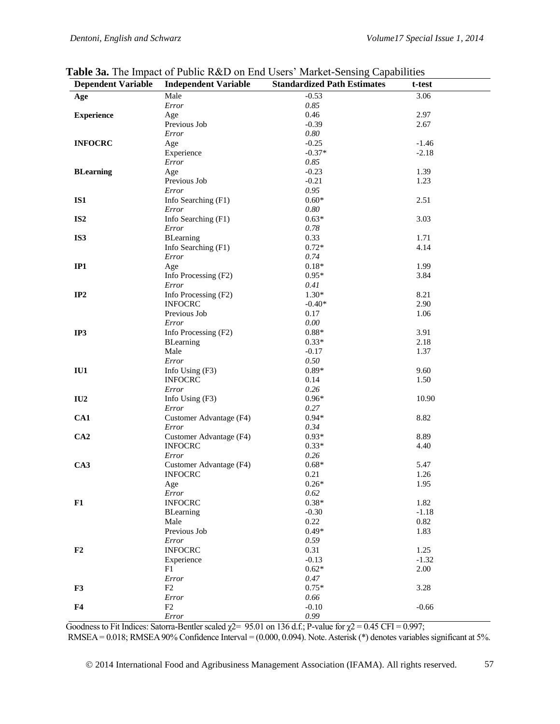| <b>Dependent Variable</b> | <b>Independent Variable</b> | <b>Standardized Path Estimates</b> | t-test  |
|---------------------------|-----------------------------|------------------------------------|---------|
| Age                       | Male                        | $-0.53$                            | 3.06    |
|                           | Error                       | 0.85                               |         |
| <b>Experience</b>         | Age                         | 0.46                               | 2.97    |
|                           | Previous Job                | $-0.39$                            | 2.67    |
|                           | Error                       | 0.80                               |         |
| <b>INFOCRC</b>            | Age                         | $-0.25$                            | $-1.46$ |
|                           | Experience                  | $-0.37*$                           | $-2.18$ |
|                           | Error                       | 0.85                               |         |
| <b>BLearning</b>          | Age                         | $-0.23$                            | 1.39    |
|                           | Previous Job                | $-0.21$                            | 1.23    |
|                           | Error                       | 0.95                               |         |
| IS1                       | Info Searching (F1)         | $0.60*$                            | 2.51    |
|                           | Error                       | 0.80                               |         |
| IS <sub>2</sub>           | Info Searching (F1)         | $0.63*$                            | 3.03    |
|                           | Error                       | $0.78\,$                           |         |
| IS3                       | BLearning                   | 0.33                               | 1.71    |
|                           | Info Searching (F1)         | $0.72*$                            | 4.14    |
|                           | Error                       | 0.74                               |         |
| IP1                       | Age                         | $0.18*$                            | 1.99    |
|                           | Info Processing (F2)        | $0.95*$                            | 3.84    |
|                           | Error                       | 0.41                               |         |
| IP2                       | Info Processing (F2)        | $1.30*$                            | 8.21    |
|                           | <b>INFOCRC</b>              | $-0.40*$                           | 2.90    |
|                           | Previous Job                | 0.17                               | 1.06    |
|                           | Error                       | 0.00                               |         |
| IP3                       | Info Processing (F2)        | $0.88*$                            | 3.91    |
|                           | <b>BLearning</b>            | $0.33*$                            | 2.18    |
|                           | Male                        | $-0.17$                            | 1.37    |
|                           | Error                       | 0.50                               |         |
| IU1                       | Info Using (F3)             | $0.89*$                            | 9.60    |
|                           | <b>INFOCRC</b>              | 0.14                               | 1.50    |
|                           | Error                       | 0.26                               |         |
| IU2                       | Info Using (F3)             | $0.96*$                            | 10.90   |
|                           | Error                       | 0.27                               |         |
| CA1                       | Customer Advantage (F4)     | $0.94*$                            | 8.82    |
|                           | Error                       | 0.34                               |         |
| CA2                       | Customer Advantage (F4)     | $0.93*$                            | 8.89    |
|                           | <b>INFOCRC</b>              | $0.33*$                            | 4.40    |
|                           | Error                       | 0.26                               |         |
| CA3                       | Customer Advantage (F4)     | $0.68*$                            | 5.47    |
|                           | <b>INFOCRC</b>              | 0.21                               | 1.26    |
|                           | Age                         | $0.26*$                            | 1.95    |
|                           | Error                       | 0.62                               |         |
| F1                        | <b>INFOCRC</b>              | $0.38*$                            | 1.82    |
|                           | <b>BLearning</b>            | $-0.30$                            | $-1.18$ |
|                           | Male                        | 0.22                               | 0.82    |
|                           | Previous Job                | $0.49*$                            | 1.83    |
|                           | Error                       | 0.59                               |         |
| F2                        | <b>INFOCRC</b>              | 0.31                               | 1.25    |
|                           | Experience                  | $-0.13$                            | $-1.32$ |
|                           | F1                          | $0.62*$                            | 2.00    |
|                           | Error                       | 0.47                               |         |
| F3                        | ${\rm F2}$                  | $0.75*$                            | 3.28    |
|                           | Error                       | 0.66                               |         |
| F <sub>4</sub>            | F2                          | $-0.10$                            | $-0.66$ |
|                           | $Error$                     | 0.99                               |         |

**Table 3a.** The Impact of Public R&D on End Users' Market-Sensing Capabilities

Goodness to Fit Indices: Satorra-Bentler scaled  $\chi$ 2= 95.01 on 136 d.f.; P-value for  $\chi$ 2 = 0.45 CFI = 0.997; RMSEA = 0.018; RMSEA 90% Confidence Interval =  $(0.000, 0.094)$ . Note. Asterisk (\*) denotes variables significant at 5%.

© 2014 International Food and Agribusiness Management Association (IFAMA). All rights reserved. 57